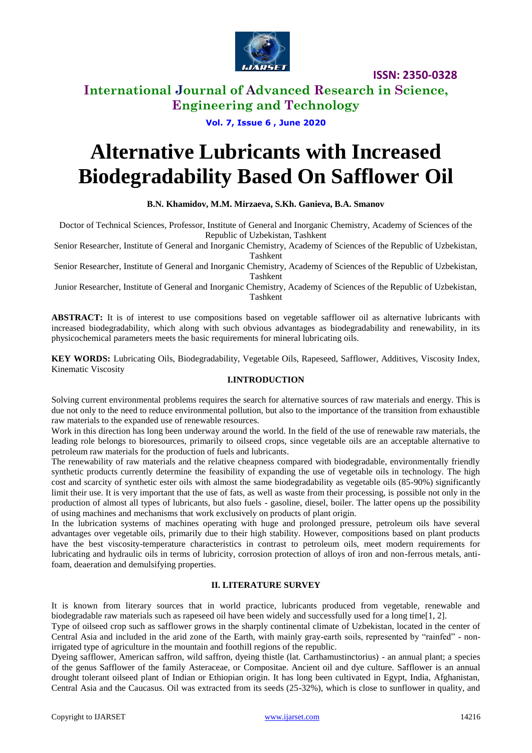

### **International Journal of Advanced Research in Science, Engineering and Technology**

### **Vol. 7, Issue 6 , June 2020**

# **Alternative Lubricants with Increased Biodegradability Based On Safflower Oil**

#### **B.N. Khamidov, M.M. Mirzaeva, S.Kh. Ganieva, B.A. Smanov**

Doctor of Technical Sciences, Professor, Institute of General and Inorganic Chemistry, Academy of Sciences of the Republic of Uzbekistan, Tashkent

Senior Researcher, Institute of General and Inorganic Chemistry, Academy of Sciences of the Republic of Uzbekistan, Tashkent

Senior Researcher, Institute of General and Inorganic Chemistry, Academy of Sciences of the Republic of Uzbekistan, Tashkent

Junior Researcher, Institute of General and Inorganic Chemistry, Academy of Sciences of the Republic of Uzbekistan, Tashkent

**ABSTRACT:** It is of interest to use compositions based on vegetable safflower oil as alternative lubricants with increased biodegradability, which along with such obvious advantages as biodegradability and renewability, in its physicochemical parameters meets the basic requirements for mineral lubricating oils.

**KEY WORDS:** Lubricating Oils, Biodegradability, Vegetable Oils, Rapeseed, Safflower, Additives, Viscosity Index, Kinematic Viscosity

### **I.INTRODUCTION**

Solving current environmental problems requires the search for alternative sources of raw materials and energy. This is due not only to the need to reduce environmental pollution, but also to the importance of the transition from exhaustible raw materials to the expanded use of renewable resources.

Work in this direction has long been underway around the world. In the field of the use of renewable raw materials, the leading role belongs to bioresources, primarily to oilseed crops, since vegetable oils are an acceptable alternative to petroleum raw materials for the production of fuels and lubricants.

The renewability of raw materials and the relative cheapness compared with biodegradable, environmentally friendly synthetic products currently determine the feasibility of expanding the use of vegetable oils in technology. The high cost and scarcity of synthetic ester oils with almost the same biodegradability as vegetable oils (85-90%) significantly limit their use. It is very important that the use of fats, as well as waste from their processing, is possible not only in the production of almost all types of lubricants, but also fuels - gasoline, diesel, boiler. The latter opens up the possibility of using machines and mechanisms that work exclusively on products of plant origin.

In the lubrication systems of machines operating with huge and prolonged pressure, petroleum oils have several advantages over vegetable oils, primarily due to their high stability. However, compositions based on plant products have the best viscosity-temperature characteristics in contrast to petroleum oils, meet modern requirements for lubricating and hydraulic oils in terms of lubricity, corrosion protection of alloys of iron and non-ferrous metals, antifoam, deaeration and demulsifying properties.

#### **II. LITERATURE SURVEY**

It is known from literary sources that in world practice, lubricants produced from vegetable, renewable and biodegradable raw materials such as rapeseed oil have been widely and successfully used for a long time[1, 2].

Type of oilseed crop such as safflower grows in the sharply continental climate of Uzbekistan, located in the center of Central Asia and included in the arid zone of the Earth, with mainly gray-earth soils, represented by "rainfed" - nonirrigated type of agriculture in the mountain and foothill regions of the republic.

Dyeing safflower, American saffron, wild saffron, dyeing thistle (lat. Carthamustinctorius) - an annual plant; a species of the genus Safflower of the family Asteraceae, or Compositae. Ancient oil and dye culture. Safflower is an annual drought tolerant oilseed plant of Indian or Ethiopian origin. It has long been cultivated in Egypt, India, Afghanistan, Central Asia and the Caucasus. Oil was extracted from its seeds (25-32%), which is close to sunflower in quality, and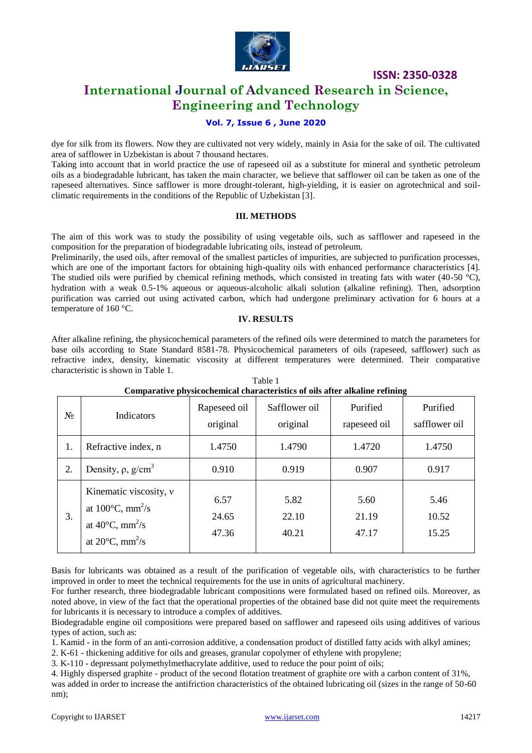

### **International Journal of Advanced Research in Science, Engineering and Technology**

### **Vol. 7, Issue 6 , June 2020**

dye for silk from its flowers. Now they are cultivated not very widely, mainly in Asia for the sake of oil. The cultivated area of safflower in Uzbekistan is about 7 thousand hectares.

Taking into account that in world practice the use of rapeseed oil as a substitute for mineral and synthetic petroleum oils as a biodegradable lubricant, has taken the main character, we believe that safflower oil can be taken as one of the rapeseed alternatives. Since safflower is more drought-tolerant, high-yielding, it is easier on agrotechnical and soilclimatic requirements in the conditions of the Republic of Uzbekistan [3].

#### **III. METHODS**

The aim of this work was to study the possibility of using vegetable oils, such as safflower and rapeseed in the composition for the preparation of biodegradable lubricating oils, instead of petroleum.

Preliminarily, the used oils, after removal of the smallest particles of impurities, are subjected to purification processes, which are one of the important factors for obtaining high-quality oils with enhanced performance characteristics [4]. The studied oils were purified by chemical refining methods, which consisted in treating fats with water (40-50  $^{\circ}$ C), hydration with a weak 0.5-1% aqueous or aqueous-alcoholic alkali solution (alkaline refining). Then, adsorption purification was carried out using activated carbon, which had undergone preliminary activation for 6 hours at a temperature of 160 °C.

#### **IV. RESULTS**

After alkaline refining, the physicochemical parameters of the refined oils were determined to match the parameters for base oils according to State Standard 8581-78. Physicochemical parameters of oils (rapeseed, safflower) such as refractive index, density, kinematic viscosity at different temperatures were determined. Their comparative characteristic is shown in Table 1.

|    | Comparative physicochemical characteristics of ons after anxanne remning                                                                                         |                          |                           |                          |                           |  |  |
|----|------------------------------------------------------------------------------------------------------------------------------------------------------------------|--------------------------|---------------------------|--------------------------|---------------------------|--|--|
| No | Indicators                                                                                                                                                       | Rapeseed oil<br>original | Safflower oil<br>original | Purified<br>rapeseed oil | Purified<br>safflower oil |  |  |
| 1. | Refractive index, n                                                                                                                                              | 1.4750                   | 1.4790                    | 1.4720                   | 1.4750                    |  |  |
| 2. | Density, $\rho$ , $g/cm^3$                                                                                                                                       | 0.910                    | 0.919                     | 0.907                    | 0.917                     |  |  |
| 3. | Kinematic viscosity, $\nu$<br>at $100^{\circ}$ C, mm <sup>2</sup> /s<br>at 40 $\rm ^{\circ}C, \, mm^2/s$<br>at 20 $\mathrm{^{\circ}C}, \mathrm{mm}^2/\mathrm{s}$ | 6.57<br>24.65<br>47.36   | 5.82<br>22.10<br>40.21    | 5.60<br>21.19<br>47.17   | 5.46<br>10.52<br>15.25    |  |  |

Table 1 **Comparative physicochemical characteristics of oils after alkaline refining**

Basis for lubricants was obtained as a result of the purification of vegetable oils, with characteristics to be further improved in order to meet the technical requirements for the use in units of agricultural machinery.

For further research, three biodegradable lubricant compositions were formulated based on refined oils. Moreover, as noted above, in view of the fact that the operational properties of the obtained base did not quite meet the requirements for lubricants it is necessary to introduce a complex of additives.

Biodegradable engine oil compositions were prepared based on safflower and rapeseed oils using additives of various types of action, such as:

1. Kamid - in the form of an anti-corrosion additive, a condensation product of distilled fatty acids with alkyl amines;

2. K-61 - thickening additive for oils and greases, granular copolymer of ethylene with propylene;

3. K-110 - depressant polymethylmethacrylate additive, used to reduce the pour point of oils;

4. Highly dispersed graphite - product of the second flotation treatment of graphite ore with a carbon content of 31%, was added in order to increase the antifriction characteristics of the obtained lubricating oil (sizes in the range of 50-60 nm);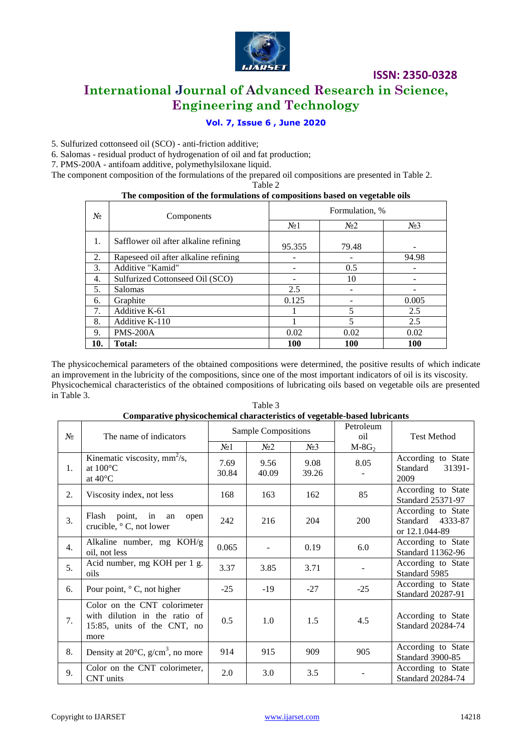

### **International Journal of Advanced Research in Science, Engineering and Technology**

### **Vol. 7, Issue 6 , June 2020**

5. Sulfurized cottonseed oil (SCO) - anti-friction additive;

6. Salomas - residual product of hydrogenation of oil and fat production;

7. PMS-200A - antifoam additive, polymethylsiloxane liquid.

The component composition of the formulations of the prepared oil compositions are presented in Table 2.

Table 2

#### **The composition of the formulations of compositions based on vegetable oils**

| N∘  | Components                            | Formulation, %   |                |        |
|-----|---------------------------------------|------------------|----------------|--------|
|     |                                       | N <sub>0</sub> 1 | N <sub>2</sub> | $N0$ 3 |
| 1.  | Safflower oil after alkaline refining | 95.355           | 79.48          |        |
| 2.  | Rapeseed oil after alkaline refining  |                  |                | 94.98  |
| 3.  | Additive "Kamid"                      |                  | 0.5            |        |
| 4.  | Sulfurized Cottonseed Oil (SCO)       |                  | 10             |        |
| 5.  | <b>Salomas</b>                        | 2.5              |                |        |
| 6.  | Graphite                              | 0.125            |                | 0.005  |
| 7.  | Additive K-61                         |                  | 5              | 2.5    |
| 8.  | Additive K-110                        |                  | 5              | 2.5    |
| 9.  | <b>PMS-200A</b>                       | 0.02             | 0.02           | 0.02   |
| 10. | Total:                                | <b>100</b>       | 100            | 100    |

The physicochemical parameters of the obtained compositions were determined, the positive results of which indicate an improvement in the lubricity of the compositions, since one of the most important indicators of oil is its viscosity. Physicochemical characteristics of the obtained compositions of lubricating oils based on vegetable oils are presented in Table 3.

|       | Comparative physicochemical characteristics of vegetable-based hibi icants                           |                     |                |                  |                  |                                                          |  |
|-------|------------------------------------------------------------------------------------------------------|---------------------|----------------|------------------|------------------|----------------------------------------------------------|--|
| $N_2$ | The name of indicators                                                                               | Sample Compositions |                |                  | Petroleum<br>oil | <b>Test Method</b>                                       |  |
|       |                                                                                                      | N <sub>0</sub> 1    | N <sub>2</sub> | N <sub>2</sub> 3 | $M-8G2$          |                                                          |  |
| 1.    | Kinematic viscosity, $mm^2/s$ ,<br>at $100^{\circ}$ C<br>at $40^{\circ}$ C                           | 7.69<br>30.84       | 9.56<br>40.09  | 9.08<br>39.26    | 8.05             | According to State<br>Standard<br>31391-<br>2009         |  |
| 2.    | Viscosity index, not less                                                                            | 168                 | 163            | 162              | 85               | According to State<br>Standard 25371-97                  |  |
| 3.    | point, in an<br>Flash<br>open<br>crucible, $\circ$ C, not lower                                      | 242                 | 216            | 204              | 200              | According to State<br>Standard 4333-87<br>or 12.1.044-89 |  |
| 4.    | Alkaline number, mg KOH/g<br>oil, not less                                                           | 0.065               |                | 0.19             | 6.0              | According to State<br>Standard 11362-96                  |  |
| 5.    | Acid number, mg KOH per 1 g.<br>oils                                                                 | 3.37                | 3.85           | 3.71             |                  | According to State<br>Standard 5985                      |  |
| 6.    | Pour point, $\circ$ C, not higher                                                                    | $-25$               | $-19$          | $-27$            | $-25$            | According to State<br>Standard 20287-91                  |  |
| 7.    | Color on the CNT colorimeter<br>with dilution in the ratio of<br>15:85, units of the CNT, no<br>more | 0.5                 | 1.0            | 1.5              | 4.5              | According to State<br>Standard 20284-74                  |  |
| 8.    | Density at $20^{\circ}$ C, g/cm <sup>3</sup> , no more                                               | 914                 | 915            | 909              | 905              | According to State<br><b>Standard 3900-85</b>            |  |
| 9.    | Color on the CNT colorimeter,<br>CNT units                                                           | 2.0                 | 3.0            | 3.5              |                  | According to State<br>Standard 20284-74                  |  |

Table 3 **Comparative physicochemical characteristics of vegetable-based lubricants**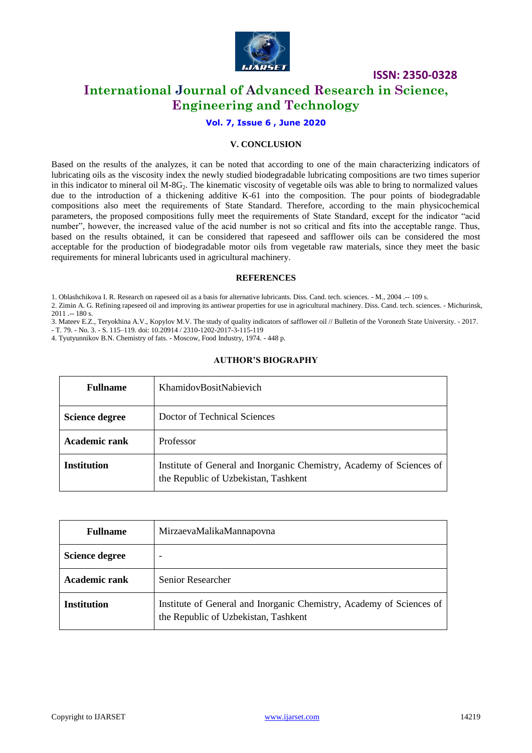

### **International Journal of Advanced Research in Science, Engineering and Technology**

### **Vol. 7, Issue 6 , June 2020**

### **V. CONCLUSION**

Based on the results of the analyzes, it can be noted that according to one of the main characterizing indicators of lubricating oils as the viscosity index the newly studied biodegradable lubricating compositions are two times superior in this indicator to mineral oil  $M-SG<sub>2</sub>$ . The kinematic viscosity of vegetable oils was able to bring to normalized values due to the introduction of a thickening additive K-61 into the composition. The pour points of biodegradable compositions also meet the requirements of State Standard. Therefore, according to the main physicochemical parameters, the proposed compositions fully meet the requirements of State Standard, except for the indicator "acid number", however, the increased value of the acid number is not so critical and fits into the acceptable range. Thus, based on the results obtained, it can be considered that rapeseed and safflower oils can be considered the most acceptable for the production of biodegradable motor oils from vegetable raw materials, since they meet the basic requirements for mineral lubricants used in agricultural machinery.

#### **REFERENCES**

1. Oblashchikova I. R. Research on rapeseed oil as a basis for alternative lubricants. Diss. Cand. tech. sciences. - M., 2004 .-- 109 s.

2. Zimin A. G. Refining rapeseed oil and improving its antiwear properties for use in agricultural machinery. Diss. Cand. tech. sciences. - Michurinsk, 2011 .-- 180 s.

3. Mateev E.Z., Teryokhina A.V., Kopylov M.V. The study of quality indicators of safflower oil // Bulletin of the Voronezh State University. - 2017.

- T. 79. - No. 3. - S. 115–119. doi: 10.20914 / 2310-1202-2017-3-115-119

4. Tyutyunnikov B.N. Chemistry of fats. - Moscow, Food Industry, 1974. - 448 p.

### **AUTHOR'S BIOGRAPHY**

| <b>Fullname</b>       | KhamidovBositNabievich                                                                                       |
|-----------------------|--------------------------------------------------------------------------------------------------------------|
| <b>Science degree</b> | Doctor of Technical Sciences                                                                                 |
| <b>Academic rank</b>  | Professor                                                                                                    |
| <b>Institution</b>    | Institute of General and Inorganic Chemistry, Academy of Sciences of<br>the Republic of Uzbekistan, Tashkent |

| <b>Fullname</b>       | MirzaevaMalikaMannapovna                                                                                     |
|-----------------------|--------------------------------------------------------------------------------------------------------------|
| <b>Science degree</b> | ۰                                                                                                            |
| <b>Academic rank</b>  | Senior Researcher                                                                                            |
| <b>Institution</b>    | Institute of General and Inorganic Chemistry, Academy of Sciences of<br>the Republic of Uzbekistan, Tashkent |